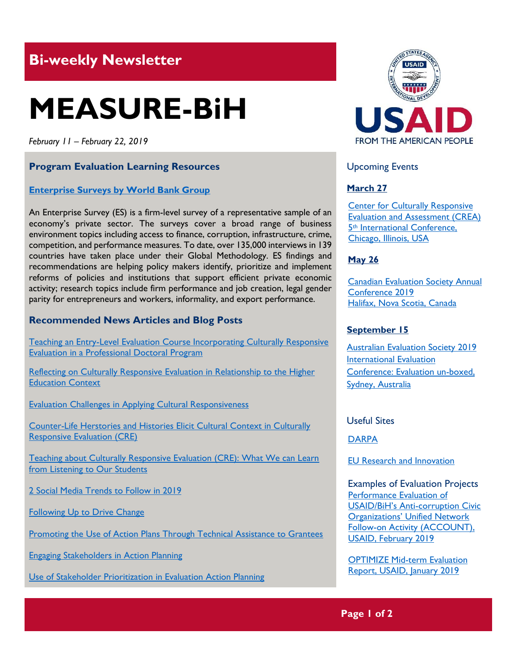# **Bi-weekly Newsletter**

# **MEASURE-BiH**

*February 11 – February 22, 2019*

# **Program Evaluation Learning Resources**

# **Enterprise Surveys [by World Bank Group](http://www.enterprisesurveys.org/)**

An Enterprise Survey (ES) is a firm-level survey of a representative sample of an economy's private sector. The surveys cover a broad range of business environment topics including access to finance, corruption, infrastructure, crime, competition, and performance measures. To date, over 135,000 interviews in 139 countries have taken place under their Global Methodology. ES findings and recommendations are helping policy makers identify, prioritize and implement reforms of policies and institutions that support efficient private economic activity; research topics include firm performance and job creation, legal gender parity for entrepreneurs and workers, informality, and export performance.

# **Recommended News Articles and Blog Posts**

[Teaching an Entry-Level Evaluation Course Incorporating Culturally Responsive](https://aea365.org/blog/msi-fellowship-week-teaching-an-entry-level-evaluation-course-incorporating-culturally-responsive-evaluation-in-a-professional-doctoral-program-by-lu-liu/)  [Evaluation in a Professional Doctoral Program](https://aea365.org/blog/msi-fellowship-week-teaching-an-entry-level-evaluation-course-incorporating-culturally-responsive-evaluation-in-a-professional-doctoral-program-by-lu-liu/)

[Reflecting on Culturally Responsive Evaluation in Relationship to the Higher](https://aea365.org/blog/msi-fellowship-week-reflecting-on-culturally-responsive-evaluation-in-relationship-to-the-higher-education-context-by-tiffany-j-davis/)  [Education Context](https://aea365.org/blog/msi-fellowship-week-reflecting-on-culturally-responsive-evaluation-in-relationship-to-the-higher-education-context-by-tiffany-j-davis/)

[Evaluation Challenges in Applying Cultural Responsiveness](https://aea365.org/blog/msi-fellowship-week-evaluation-challenges-in-applying-cultural-responsiveness-by-tiberio-garza/)

[Counter-Life Herstories and Histories Elicit Cultural Context in Culturally](https://aea365.org/blog/msi-fellowship-week-counter-life-herstories-and-histories-elicit-cultural-context-in-culturally-responsive-evaluation-cre-by-shetay-ashford-hanserd/)  [Responsive Evaluation \(CRE\)](https://aea365.org/blog/msi-fellowship-week-counter-life-herstories-and-histories-elicit-cultural-context-in-culturally-responsive-evaluation-cre-by-shetay-ashford-hanserd/)

[Teaching about Culturally Responsive Evaluation \(CRE\): What We can Learn](https://aea365.org/blog/msi-fellowship-week-teaching-about-culturally-responsive-evaluation-cre-what-we-can-learn-from-listening-to-our-students-by-darla-scott/)  [from Listening to Our Students](https://aea365.org/blog/msi-fellowship-week-teaching-about-culturally-responsive-evaluation-cre-what-we-can-learn-from-listening-to-our-students-by-darla-scott/)

[2 Social Media Trends to Follow in 2019](https://aea365.org/blog/2-social-media-trends-to-follow-in-2019-by-jessica-byrnes/)

[Following Up to Drive Change](https://aea365.org/blog/post-eval-action-plan-week-following-up-to-drive-change-by-janet-mou-pataky-and-diana-tindall/)

[Promoting the Use of Action Plans Through Technical Assistance to Grantees](https://aea365.org/blog/post-eval-action-plan-week-promoting-the-use-of-action-plans-through-technical-assistance-to-grantees-by-robin-kuwahara-and-maureen-wilce/)

[Engaging Stakeholders in Action Planning](https://aea365.org/blog/post-eval-action-plan-week-engaging-stakeholders-in-action-planning-by-amy-griffin/)

[Use of Stakeholder Prioritization in Evaluation Action Planning](https://aea365.org/blog/post-eval-action-plan-week-use-of-stakeholder-prioritization-in-evaluation-action-planning-by-kellie-baxter/)



# Upcoming Events

# **March 27**

[Center for Culturally Responsive](https://mande.co.uk/conferences/?event_id1=7277) [Evaluation and Assessment \(CREA\)](https://mande.co.uk/conferences/?event_id1=7277)  5<sup>th</sup> International Conference, [Chicago, Illinois, USA](https://mande.co.uk/conferences/?event_id1=7277) 

#### **May 26**

[Canadian Evaluation Society Annual](https://mande.co.uk/conferences/?event_id1=7352)  [Conference 2019](https://mande.co.uk/conferences/?event_id1=7352) [Halifax, Nova Scotia, Canada](https://mande.co.uk/conferences/?event_id1=7352)

# **September 15**

[Australian Evaluation Society 2019](https://mande.co.uk/conferences/?event_id1=7421)  [International Evaluation](https://mande.co.uk/conferences/?event_id1=7421)  [Conference: Evaluation un-boxed,](https://mande.co.uk/conferences/?event_id1=7421)  [Sydney, Australia](https://mande.co.uk/conferences/?event_id1=7421)

Useful Sites

**[DARPA](https://www.darpa.mil/)** 

[EU Research and Innovation](https://ec.europa.eu/info/research-and-innovation_en)

Examples of Evaluation Projects [Performance Evaluation of](https://dec.usaid.gov/dec/content/Detail_Presto.aspx?ctID=ODVhZjk4NWQtM2YyMi00YjRmLTkxNjktZTcxMjM2NDBmY2Uy&rID=NTE2NzQz&qrs=RmFsc2U%3d&q=KERvY3VtZW50cy5CaWJ0eXBlX05hbWU6KCgiU3BlY2lhbCBFdmFsdWF0aW9uIikgT1IgKCJGaW5hbCBFdmFsdWF0aW9uIFJlcG9ydCIpKSk%3d&ph=VHJ1ZQ%3d%3d&bckToL=VHJ1ZQ%3d%3d&rrtc=VHJ1ZQ%3d%3d)  USAID/BiH's Anti[-corruption Civic](https://dec.usaid.gov/dec/content/Detail_Presto.aspx?ctID=ODVhZjk4NWQtM2YyMi00YjRmLTkxNjktZTcxMjM2NDBmY2Uy&rID=NTE2NzQz&qrs=RmFsc2U%3d&q=KERvY3VtZW50cy5CaWJ0eXBlX05hbWU6KCgiU3BlY2lhbCBFdmFsdWF0aW9uIikgT1IgKCJGaW5hbCBFdmFsdWF0aW9uIFJlcG9ydCIpKSk%3d&ph=VHJ1ZQ%3d%3d&bckToL=VHJ1ZQ%3d%3d&rrtc=VHJ1ZQ%3d%3d)  **Organizations' Unified Network** [Follow-on Activity \(ACCOUNT\),](https://dec.usaid.gov/dec/content/Detail_Presto.aspx?ctID=ODVhZjk4NWQtM2YyMi00YjRmLTkxNjktZTcxMjM2NDBmY2Uy&rID=NTE2NzQz&qrs=RmFsc2U%3d&q=KERvY3VtZW50cy5CaWJ0eXBlX05hbWU6KCgiU3BlY2lhbCBFdmFsdWF0aW9uIikgT1IgKCJGaW5hbCBFdmFsdWF0aW9uIFJlcG9ydCIpKSk%3d&ph=VHJ1ZQ%3d%3d&bckToL=VHJ1ZQ%3d%3d&rrtc=VHJ1ZQ%3d%3d)  [USAID, February 2019](https://dec.usaid.gov/dec/content/Detail_Presto.aspx?ctID=ODVhZjk4NWQtM2YyMi00YjRmLTkxNjktZTcxMjM2NDBmY2Uy&rID=NTE2NzQz&qrs=RmFsc2U%3d&q=KERvY3VtZW50cy5CaWJ0eXBlX05hbWU6KCgiU3BlY2lhbCBFdmFsdWF0aW9uIikgT1IgKCJGaW5hbCBFdmFsdWF0aW9uIFJlcG9ydCIpKSk%3d&ph=VHJ1ZQ%3d%3d&bckToL=VHJ1ZQ%3d%3d&rrtc=VHJ1ZQ%3d%3d)

[OPTIMIZE Mid-term Evaluation](https://dec.usaid.gov/dec/content/Detail_Presto.aspx?ctID=ODVhZjk4NWQtM2YyMi00YjRmLTkxNjktZTcxMjM2NDBmY2Uy&rID=NTE2NzA2&qrs=RmFsc2U%3d&q=KERvY3VtZW50cy5CaWJ0eXBlX05hbWU6KCgiU3BlY2lhbCBFdmFsdWF0aW9uIikgT1IgKCJGaW5hbCBFdmFsdWF0aW9uIFJlcG9ydCIpKSk%3d&ph=VHJ1ZQ%3d%3d&bckToL=VHJ1ZQ%3d%3d&rrtc=VHJ1ZQ%3d%3d)  Report, [USAID, January 2019](https://dec.usaid.gov/dec/content/Detail_Presto.aspx?ctID=ODVhZjk4NWQtM2YyMi00YjRmLTkxNjktZTcxMjM2NDBmY2Uy&rID=NTE2NzA2&qrs=RmFsc2U%3d&q=KERvY3VtZW50cy5CaWJ0eXBlX05hbWU6KCgiU3BlY2lhbCBFdmFsdWF0aW9uIikgT1IgKCJGaW5hbCBFdmFsdWF0aW9uIFJlcG9ydCIpKSk%3d&ph=VHJ1ZQ%3d%3d&bckToL=VHJ1ZQ%3d%3d&rrtc=VHJ1ZQ%3d%3d)

# **Page 1 of 2**